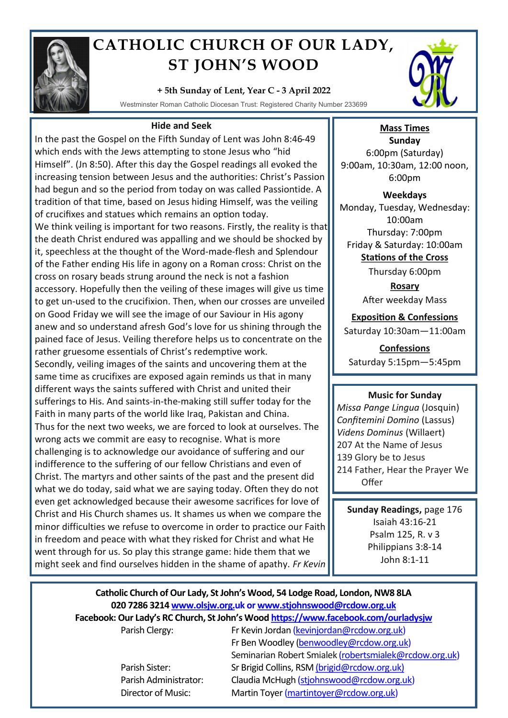

# **CATHOLIC CHURCH OF OUR LADY, ST JOHN'S WOOD**

#### **+ 5th Sunday of Lent, Year C - 3 April 2022**

Westminster Roman Catholic Diocesan Trust: Registered Charity Number 233699

#### **Hide and Seek**

In the past the Gospel on the Fifth Sunday of Lent was John 8:46-49 which ends with the Jews attempting to stone Jesus who "hid Himself". (Jn 8:50). After this day the Gospel readings all evoked the increasing tension between Jesus and the authorities: Christ's Passion had begun and so the period from today on was called Passiontide. A tradition of that time, based on Jesus hiding Himself, was the veiling of crucifixes and statues which remains an option today. We think veiling is important for two reasons. Firstly, the reality is that the death Christ endured was appalling and we should be shocked by it, speechless at the thought of the Word-made-flesh and Splendour of the Father ending His life in agony on a Roman cross: Christ on the cross on rosary beads strung around the neck is not a fashion accessory. Hopefully then the veiling of these images will give us time to get un-used to the crucifixion. Then, when our crosses are unveiled on Good Friday we will see the image of our Saviour in His agony anew and so understand afresh God's love for us shining through the pained face of Jesus. Veiling therefore helps us to concentrate on the rather gruesome essentials of Christ's redemptive work. Secondly, veiling images of the saints and uncovering them at the same time as crucifixes are exposed again reminds us that in many different ways the saints suffered with Christ and united their sufferings to His. And saints-in-the-making still suffer today for the Faith in many parts of the world like Iraq, Pakistan and China. Thus for the next two weeks, we are forced to look at ourselves. The wrong acts we commit are easy to recognise. What is more challenging is to acknowledge our avoidance of suffering and our indifference to the suffering of our fellow Christians and even of Christ. The martyrs and other saints of the past and the present did what we do today, said what we are saying today. Often they do not even get acknowledged because their awesome sacrifices for love of Christ and His Church shames us. It shames us when we compare the minor difficulties we refuse to overcome in order to practice our Faith in freedom and peace with what they risked for Christ and what He went through for us. So play this strange game: hide them that we might seek and find ourselves hidden in the shame of apathy. *Fr Kevin*



### **Mass Times Sunday** 6:00pm (Saturday) 9:00am, 10:30am, 12:00 noon, 6:00pm

**Weekdays** Monday, Tuesday, Wednesday: 10:00am Thursday: 7:00pm Friday & Saturday: 10:00am **Stations of the Cross**

Thursday 6:00pm

**Rosary** After weekday Mass

## **Exposition & Confessions**

Saturday 10:30am—11:00am

**Confessions**  Saturday 5:15pm—5:45pm

### **Music for Sunday**

*Missa Pange Lingua* (Josquin) *Confitemini Domino* (Lassus) *Videns Dominus* (Willaert) 207 At the Name of Jesus 139 Glory be to Jesus 214 Father, Hear the Prayer We **Offer** 

**Sunday Readings,** page 176 Isaiah 43:16-21 Psalm 125, R. v 3 Philippians 3:8-14 John 8:1-11

#### **Catholic Church of Our Lady, St John's Wood, 54 Lodge Road, London, NW8 8LA 020 7286 3214 www.olsjw.org.uk or www.stjohnswood@rcdow.org.uk Facebook: Our Lady's RC Church, St John's Wood https://www.facebook.com/ourladysjw** Parish Clergy: Fr Kevin Jordan (kevinjordan@rcdow.org.uk)

Fr Ben Woodley (benwoodley@rcdow.org.uk) Seminarian Robert Smialek (robertsmialek@rcdow.org.uk) Parish Sister: Sr Brigid Collins, RSM (brigid@rcdow.org.uk) Parish Administrator: Claudia McHugh (stjohnswood@rcdow.org.uk) Director of Music: Martin Toyer (martintoyer@rcdow.org.uk)